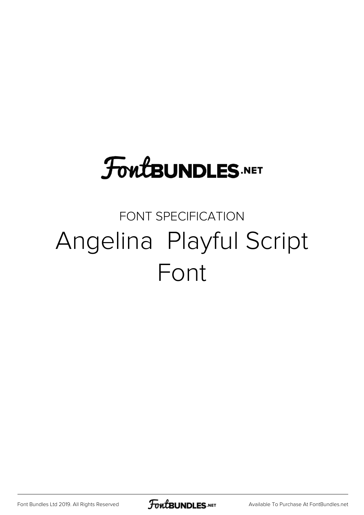# **FoutBUNDLES.NET**

## FONT SPECIFICATION Angelina Playful Script Font

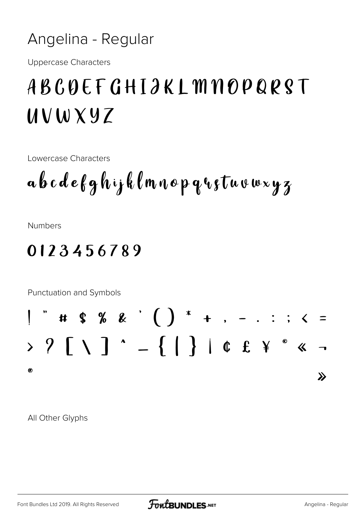#### Angelina - Regular

**Uppercase Characters** 

### ABCQEFGHIJKLMNOPQRST  $UVWXYZ$

**Lowercase Characters** 

**Numbers** 

### 0123456789



All Other Glyphs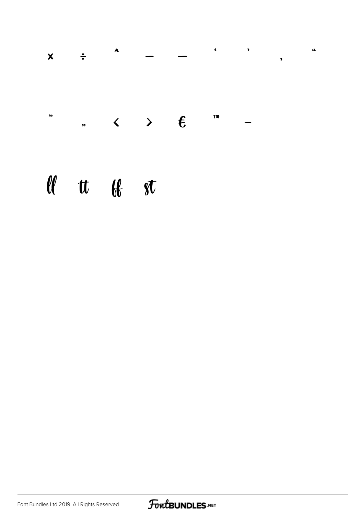| $\pmb{\mathcal{W}}$<br>$\mathbf{m}$<br>$\sim$ < > $\epsilon$ | $\boldsymbol{\mathsf{X}}$ | $\div$ | $\boldsymbol{\lambda}$ |  | $\cdot$ | э. | , |
|--------------------------------------------------------------|---------------------------|--------|------------------------|--|---------|----|---|
|                                                              |                           |        |                        |  |         |    |   |

 $\overline{\mathbf{a}}$ 

## $\lll$  tt  $\lll$  st

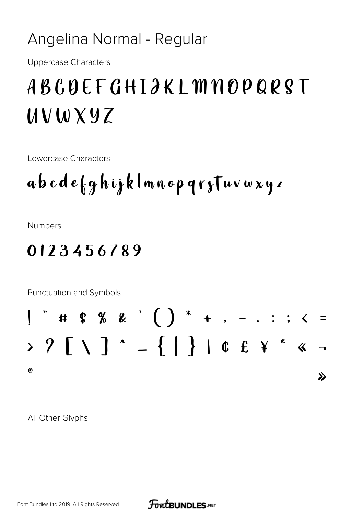### Angelina Normal - Regular

**Uppercase Characters** 

## ABCDEFGHIJKLMNOPQRST  $UVWXYZ$

Lowercase Characters

## abcdefghijklmnopqryTuvwxyz

**Numbers** 

### 0123456789



All Other Glyphs